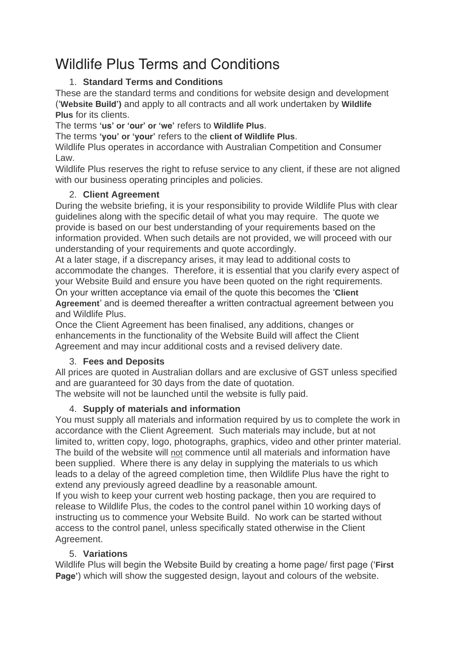# Wildlife Plus Terms and Conditions

# 1. **Standard Terms and Conditions**

These are the standard terms and conditions for website design and development ('**Website Build')** and apply to all contracts and all work undertaken by **Wildlife Plus** for its clients.

The terms **'us' or 'our' or 'we'** refers to **Wildlife Plus**.

The terms **'you' or 'your'** refers to the **client of Wildlife Plus**.

Wildlife Plus operates in accordance with Australian Competition and Consumer Law.

Wildlife Plus reserves the right to refuse service to any client, if these are not aligned with our business operating principles and policies.

# 2. **Client Agreement**

During the website briefing, it is your responsibility to provide Wildlife Plus with clear guidelines along with the specific detail of what you may require. The quote we provide is based on our best understanding of your requirements based on the information provided. When such details are not provided, we will proceed with our understanding of your requirements and quote accordingly.

At a later stage, if a discrepancy arises, it may lead to additional costs to accommodate the changes. Therefore, it is essential that you clarify every aspect of your Website Build and ensure you have been quoted on the right requirements. On your written acceptance via email of the quote this becomes the '**Client Agreement**' and is deemed thereafter a written contractual agreement between you

and Wildlife Plus.

Once the Client Agreement has been finalised, any additions, changes or enhancements in the functionality of the Website Build will affect the Client Agreement and may incur additional costs and a revised delivery date.

# 3. **Fees and Deposits**

All prices are quoted in Australian dollars and are exclusive of GST unless specified and are guaranteed for 30 days from the date of quotation.

The website will not be launched until the website is fully paid.

# 4. **Supply of materials and information**

You must supply all materials and information required by us to complete the work in accordance with the Client Agreement. Such materials may include, but at not limited to, written copy, logo, photographs, graphics, video and other printer material. The build of the website will not commence until all materials and information have been supplied. Where there is any delay in supplying the materials to us which leads to a delay of the agreed completion time, then Wildlife Plus have the right to extend any previously agreed deadline by a reasonable amount.

If you wish to keep your current web hosting package, then you are required to release to Wildlife Plus, the codes to the control panel within 10 working days of instructing us to commence your Website Build. No work can be started without access to the control panel, unless specifically stated otherwise in the Client Agreement.

# 5. **Variations**

Wildlife Plus will begin the Website Build by creating a home page/ first page ('**First Page'**) which will show the suggested design, layout and colours of the website.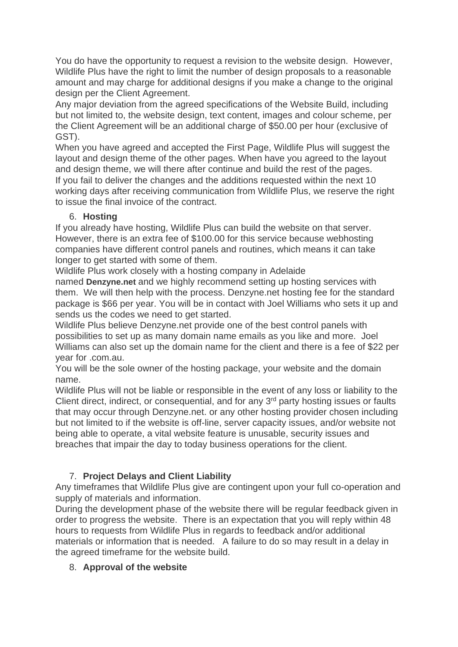You do have the opportunity to request a revision to the website design. However, Wildlife Plus have the right to limit the number of design proposals to a reasonable amount and may charge for additional designs if you make a change to the original design per the Client Agreement.

Any major deviation from the agreed specifications of the Website Build, including but not limited to, the website design, text content, images and colour scheme, per the Client Agreement will be an additional charge of \$50.00 per hour (exclusive of GST).

When you have agreed and accepted the First Page, Wildlife Plus will suggest the layout and design theme of the other pages. When have you agreed to the layout and design theme, we will there after continue and build the rest of the pages. If you fail to deliver the changes and the additions requested within the next 10 working days after receiving communication from Wildlife Plus, we reserve the right to issue the final invoice of the contract.

#### 6. **Hosting**

If you already have hosting, Wildlife Plus can build the website on that server. However, there is an extra fee of \$100.00 for this service because webhosting companies have different control panels and routines, which means it can take longer to get started with some of them.

Wildlife Plus work closely with a hosting company in Adelaide

named **Denzyne.net** and we highly recommend setting up hosting services with them. We will then help with the process. Denzyne.net hosting fee for the standard package is \$66 per year. You will be in contact with Joel Williams who sets it up and sends us the codes we need to get started.

Wildlife Plus believe Denzyne.net provide one of the best control panels with possibilities to set up as many domain name emails as you like and more. Joel Williams can also set up the domain name for the client and there is a fee of \$22 per year for .com.au.

You will be the sole owner of the hosting package, your website and the domain name.

Wildlife Plus will not be liable or responsible in the event of any loss or liability to the Client direct, indirect, or consequential, and for any 3<sup>rd</sup> party hosting issues or faults that may occur through Denzyne.net. or any other hosting provider chosen including but not limited to if the website is off-line, server capacity issues, and/or website not being able to operate, a vital website feature is unusable, security issues and breaches that impair the day to today business operations for the client.

## 7. **Project Delays and Client Liability**

Any timeframes that Wildlife Plus give are contingent upon your full co-operation and supply of materials and information.

During the development phase of the website there will be regular feedback given in order to progress the website. There is an expectation that you will reply within 48 hours to requests from Wildlife Plus in regards to feedback and/or additional materials or information that is needed. A failure to do so may result in a delay in the agreed timeframe for the website build.

## 8. **Approval of the website**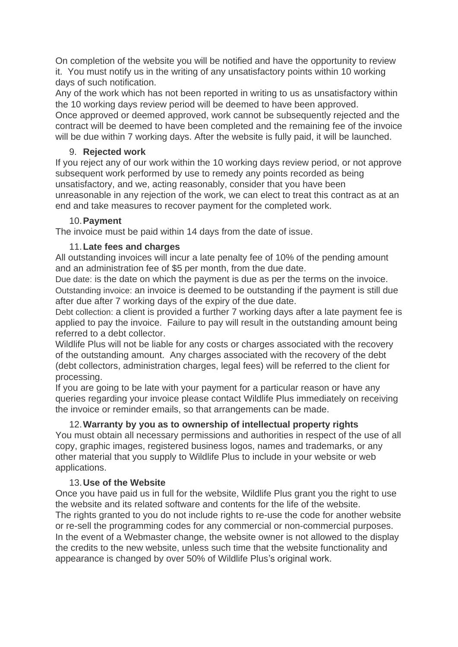On completion of the website you will be notified and have the opportunity to review it. You must notify us in the writing of any unsatisfactory points within 10 working days of such notification.

Any of the work which has not been reported in writing to us as unsatisfactory within the 10 working days review period will be deemed to have been approved. Once approved or deemed approved, work cannot be subsequently rejected and the contract will be deemed to have been completed and the remaining fee of the invoice will be due within 7 working days. After the website is fully paid, it will be launched.

## 9. **Rejected work**

If you reject any of our work within the 10 working days review period, or not approve subsequent work performed by use to remedy any points recorded as being unsatisfactory, and we, acting reasonably, consider that you have been unreasonable in any rejection of the work, we can elect to treat this contract as at an end and take measures to recover payment for the completed work.

## 10.**Payment**

The invoice must be paid within 14 days from the date of issue.

# 11.**Late fees and charges**

All outstanding invoices will incur a late penalty fee of 10% of the pending amount and an administration fee of \$5 per month, from the due date.

*Due date:* is the date on which the payment is due as per the terms on the invoice. *Outstanding invoice:* an invoice is deemed to be outstanding if the payment is still due after due after 7 working days of the expiry of the due date.

*Debt collection:* a client is provided a further 7 working days after a late payment fee is applied to pay the invoice. Failure to pay will result in the outstanding amount being referred to a debt collector.

Wildlife Plus will not be liable for any costs or charges associated with the recovery of the outstanding amount. Any charges associated with the recovery of the debt (debt collectors, administration charges, legal fees) will be referred to the client for processing.

If you are going to be late with your payment for a particular reason or have any queries regarding your invoice please contact Wildlife Plus immediately on receiving the invoice or reminder emails, so that arrangements can be made.

# 12.**Warranty by you as to ownership of intellectual property rights**

You must obtain all necessary permissions and authorities in respect of the use of all copy, graphic images, registered business logos, names and trademarks, or any other material that you supply to Wildlife Plus to include in your website or web applications.

# 13.**Use of the Website**

Once you have paid us in full for the website, Wildlife Plus grant you the right to use the website and its related software and contents for the life of the website. The rights granted to you do not include rights to re-use the code for another website or re-sell the programming codes for any commercial or non-commercial purposes. In the event of a Webmaster change, the website owner is not allowed to the display the credits to the new website, unless such time that the website functionality and appearance is changed by over 50% of Wildlife Plus's original work.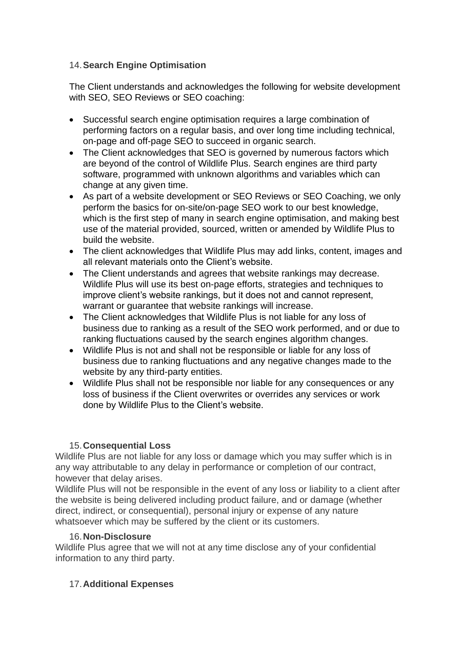#### 14.**Search Engine Optimisation**

The Client understands and acknowledges the following for website development with SEO, SEO Reviews or SEO coaching:

- Successful search engine optimisation requires a large combination of performing factors on a regular basis, and over long time including technical, on-page and off-page SEO to succeed in organic search.
- The Client acknowledges that SEO is governed by numerous factors which are beyond of the control of Wildlife Plus. Search engines are third party software, programmed with unknown algorithms and variables which can change at any given time.
- As part of a website development or SEO Reviews or SEO Coaching, we only perform the basics for on-site/on-page SEO work to our best knowledge, which is the first step of many in search engine optimisation, and making best use of the material provided, sourced, written or amended by Wildlife Plus to build the website.
- The client acknowledges that Wildlife Plus may add links, content, images and all relevant materials onto the Client's website.
- The Client understands and agrees that website rankings may decrease. Wildlife Plus will use its best on-page efforts, strategies and techniques to improve client's website rankings, but it does not and cannot represent, warrant or guarantee that website rankings will increase.
- The Client acknowledges that Wildlife Plus is not liable for any loss of business due to ranking as a result of the SEO work performed, and or due to ranking fluctuations caused by the search engines algorithm changes.
- Wildlife Plus is not and shall not be responsible or liable for any loss of business due to ranking fluctuations and any negative changes made to the website by any third-party entities.
- Wildlife Plus shall not be responsible nor liable for any consequences or any loss of business if the Client overwrites or overrides any services or work done by Wildlife Plus to the Client's website.

## 15.**Consequential Loss**

Wildlife Plus are not liable for any loss or damage which you may suffer which is in any way attributable to any delay in performance or completion of our contract, however that delay arises.

Wildlife Plus will not be responsible in the event of any loss or liability to a client after the website is being delivered including product failure, and or damage (whether direct, indirect, or consequential), personal injury or expense of any nature whatsoever which may be suffered by the client or its customers.

#### 16.**Non-Disclosure**

Wildlife Plus agree that we will not at any time disclose any of your confidential information to any third party.

## 17.**Additional Expenses**